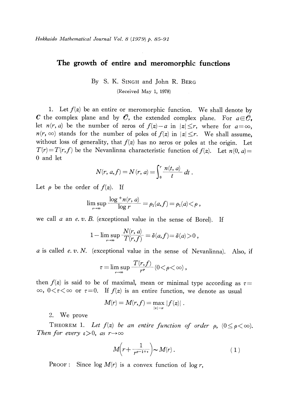## The growth of entire and meromorphic functions

By S. K. SINGH and John R. BERG (Received May 1, 1978)

1. Let  $f(z)$  be an entire or meromorphic function. We shall denote by  $\boldsymbol{C}$  the complex plane and by  $\bar{\boldsymbol{C}}$ , the extended complex plane. For  $a\!\in\!\bar{\boldsymbol{C}}$ , let  $n(r, a)$  be the number of zeros of  $f(z) - a$  in  $|z| \leq r$ , where for  $a = \infty$ ,  $n(r, \infty)$  stands for the number of poles of  $f(z)$  in  $|z|\leq r$ . We shall assume, without loss of generality, that  $f(z)$  has no zeros or poles at the origin. Let  $T(r)=T(r,f)$  be the Nevanlinna characteristic function of  $f(z)$ . Let  $n(0, a)=$ 0 and let

$$
N(r, a, f) = N(r, a) = \int_0^r \frac{n(t, a)}{t} dt.
$$

Let  $\rho$  be the order of  $f(z)$ . If

$$
\limsup_{r\to\infty} \frac{\log^+ n(r,\,a)}{\log r} = \rho_1(a,f) = \rho_1(a)\! <\! \rho\,,
$$

we call  $a$  an  $e$ .  $v$ .  $B$ . (exceptional value in the sense of Borel). If

$$
1-\limsup_{r\to\infty}\frac{N(r,\,a)}{T(r,f)}=\delta(a,f)\!=\delta(a)\!>\!0\;,
$$

 $a$  is called  $e$ .  $v$ .  $N$ . (exceptional value in the sense of Nevanlinna). Also, if

$$
\tau = \limsup_{r \to \infty} \frac{T(r, f)}{r^{\rho}} (0 \lt \rho \lt \infty),
$$

then  $f(z)$  is said to be of maximal, mean or minimal type according as  $\tau=$  $\infty, \ 0<\tau<\infty$  or  $\tau=0.$  If  $f(z)$  is an entire function, we denote as usual

$$
M(r)=M(r,f)=\max_{|z|=r}|f(z)|\;.
$$

<span id="page-0-0"></span>2. We prove

THEOREM 1. Let  $f(z)$  be an entire function of order  $\rho$ ,  $(0\leq\rho<\infty)$ . Then for every  $\varepsilon > 0$ , as  $r \rightarrow \infty$ 

$$
M\left(r+\frac{1}{r^{p-1+s}}\right) \sim M(r).
$$
 (1)

**PROOF:** Since  $log M(r)$  is a convex function of  $log r$ ,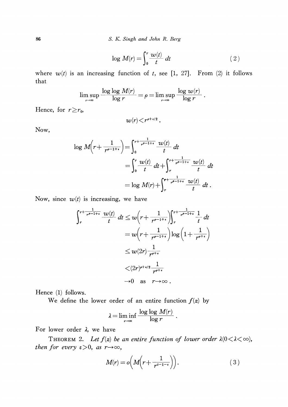86 S. K. Singh and John R. Berg

$$
\log M(r) = \int_0^r \frac{w(t)}{t} dt \qquad (2)
$$

where  $w(t)$  is an increasing function of t, see [1, 27]. From (2) it follows that

$$
\limsup_{r \to \infty} \frac{\log \log M(r)}{\log r} = \rho = \limsup_{r \to \infty} \frac{\log w(r)}{\log r}.
$$

Hence, for  $r \geq r_{0}$ ,

$$
w(r)\!<\! r^{\rho+\epsilon/2}\,.
$$

Now,

$$
\log M\left(r + \frac{1}{r^{\rho - 1 + \epsilon}}\right) = \int_0^{r + \frac{1}{r^{\rho - 1 + \epsilon}}} \frac{w(t)}{t} dt
$$
  
= 
$$
\int_0^r \frac{w(t)}{t} dt + \int_r^{r + \frac{1}{r^{\rho - 1 + \epsilon}}} \frac{w(t)}{t} dt
$$
  
= 
$$
\log M(r) + \int_r^{r + \frac{1}{r^{\rho - 1 + \epsilon}}} \frac{w(t)}{t} dt.
$$

Now, since  $w(t)$  is increasing, we have

$$
\int_{r}^{r+\frac{1}{r^{\rho-1+\epsilon}}} \frac{w(t)}{t} dt \le w \left(r+\frac{1}{r^{\rho-1+\epsilon}}\right) \int_{r}^{r+\frac{1}{r^{\rho-1+\epsilon}}} \frac{1}{t} dt
$$
  

$$
= w \left(r+\frac{1}{r^{\rho-1+\epsilon}}\right) \log \left(1+\frac{1}{r^{\rho+\epsilon}}\right)
$$
  

$$
\le w(2r) \frac{1}{r^{\rho+\epsilon}}
$$
  

$$
< (2r)^{\rho+\epsilon/2} \frac{1}{r^{\rho+\epsilon}}
$$
  

$$
\to 0 \text{ as } r\to \infty.
$$

Hence (1) follows.

We define the lower order of an entire function  $f(z)$  by

$$
\lambda = \liminf_{r \to \infty} \frac{\log \log M(r)}{\log r}.
$$

For lower order  $\lambda$ , we have

THEOREM 2. Let  $f(z)$  be an entire function of lower order  $\lambda(0<\lambda<\infty)$ , then for every  $\varepsilon > 0$ , as  $r \rightarrow \infty$ ,

$$
M(r) = o\left(M\left(r + \frac{1}{r^{2-1-\epsilon}}\right)\right).
$$
 (3)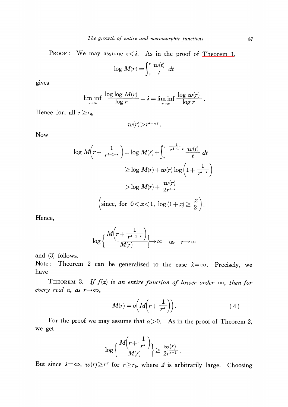Proof: We may assume  $\varepsilon < \lambda$ . As in the proof of [Theorem](#page-0-0) 1,

$$
\log M(r) = \int_0^r \frac{w(t)}{t} dt
$$

gives

$$
\liminf_{r \to \infty} \frac{\log \log M(r)}{\log r} = \lambda = \liminf_{r \to \infty} \frac{\log w(r)}{\log r}
$$

Hence for, all  $r \geq r_{0}$ ,

$$
w(r)\!>\!r^{\lambda-\epsilon/2}\,.
$$

Now

$$
\log M\left(r + \frac{1}{r^{x-1-\epsilon}}\right) = \log M(r) + \int_{r}^{r + \frac{1}{r^{x-1-\epsilon}}} \frac{w(t)}{t} dt
$$
  
\n
$$
\geq \log M(r) + w(r) \log \left(1 + \frac{1}{r^{x-\epsilon}}\right)
$$
  
\n
$$
> \log M(r) + \frac{w(r)}{2r^{x-\epsilon}}
$$
  
\n(since, for  $0 < x < 1$ ,  $\log (1 + x) \geq \frac{x}{2}$ ).

Hence,

$$
\log\left\{\frac{M(r+\frac{1}{r^{\lambda-1-\epsilon}})}{M(r)}\right\}\to\infty \quad \text{as} \quad r\to\infty
$$

and (3) follows.

Note : Theorem 2 can be generalized to the case  $\lambda{=}\infty$ . Precisely, we have

THEOREM 3. If  $f(z)$  is an entire function of lower order  $\infty$ , then for every real  $\alpha,$  as  $r{\rightarrow}\infty,$ 

$$
M(r) = o\left(M\left(r + \frac{1}{r^{\alpha}}\right)\right).
$$
 (4)

For the proof we may assume that  $\alpha>0$ . As in the proof of Theorem 2, we get

$$
\log\Big\{\frac{M\!\!\left(r+\frac{1}{r^{\alpha}}\right)}{M\!\!\left(r\right)}\Big\}\!\geq\!\frac{w\!\left(r\right)}{2r^{\alpha+1}}\,.
$$

But since  $\lambda{=}\infty$ ,  $w(r){\geq}r^{4}$  for  $r{\geq}r_{0}$ , where  $\varDelta$  is arbitrarily large. Choosing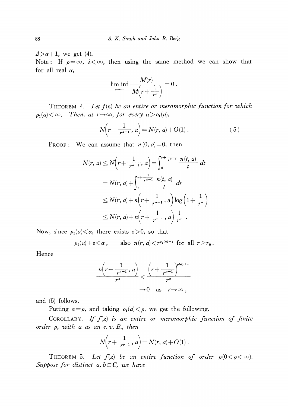$\Delta > \alpha+1$ , we get (4).

Note: If  $\rho=\infty,$   $\lambda<\infty,$  then using the same method we can show that for all real  $\alpha$ ,

$$
\liminf_{r\to\infty}\frac{M(r)}{M\left(r+\frac{1}{r^{\alpha}}\right)}=0.
$$

THEOREM 4. Let  $f(z)$  be an entire or meromorphic function for which  $\rho_{1}(a) < \infty$ . Then, as  $r \rightarrow \infty$ , for every  $\alpha > \rho_{1}(a)$ ,

$$
N(r+\frac{1}{r^{a-1}},a) = N(r,a) + O(1).
$$
 (5)

PROOF: We can assume that  $n(0, a)=0$ , then

$$
N(r, a) \le N(r + \frac{1}{r^{\alpha - 1}}, a) = \int_0^{r + \frac{1}{r^{\alpha - 1}}} \frac{n(t, a)}{t} dt
$$
  
=  $N(r, a) + \int_r^{r + \frac{1}{r^{\alpha - 1}}} \frac{n(t, a)}{t} dt$   
 $\le N(r, a) + n(r + \frac{1}{r^{\alpha - 1}}, a) \log(1 + \frac{1}{r^{\alpha}})$   
 $\le N(r, a) + n(r + \frac{1}{r^{\alpha - 1}}, a) \frac{1}{r^{\alpha}}.$ 

Now, since  $\rho_{1}(a) < \alpha$ , there exists  $\varepsilon > 0$ , so that

$$
\rho_1(a) + \varepsilon < \alpha
$$
, also  $n(r, a) < r^{\rho_1(a) + \varepsilon}$  for all  $r \ge r_0$ .

Hence

$$
\frac{n\left(r+\frac{1}{r^{\alpha-1}},a\right)}{r^{\alpha}} < \frac{\left(r+\frac{1}{r^{\alpha-1}}\right)^{\rho(a)+\epsilon}}{r^{\alpha}} < 0 \quad \text{as} \quad r \to \infty,
$$

and (5) follows.

Putting  $\alpha=\rho$ , and taking  $\rho_{1}(a)<\rho$ , we get the following.

COROLLARY. If  $f(z)$  is an entire or meromorphic function of finite order  $\rho$ , with a as an e. v. B., then

$$
N(r+\frac{1}{r^{p-1}}, a) = N(r, a) + O(1)
$$
.

THEOREM 5. Let  $f(z)$  be an entire function of order  $\rho(0<\rho<\infty)$ . Suppose for distinct a,  $b \in C$ , we have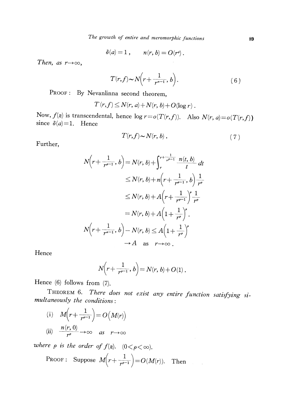$$
\delta(a)=1\;,\qquad n(r,b)=O(r^{\rho})\,.
$$

Then, as  $r\rightarrow\infty$ ,

$$
T(r,f) \sim N\left(r + \frac{1}{r^{\alpha - 1}}, b\right).
$$
 (6)

 $\bar{\mathcal{A}}$ 

PROOF: By Nevanlinna second theorem,

$$
T(r, f) \leq N(r, a) + N(r, b) + O(\log r).
$$

Now,  $f(z)$  is transcendental, hence  $\log r = o(T(r, f))$ . Also  $N(r, a) = o(T(r, f))$ since  $\delta(a)=1$ . Hence

$$
T(r, f) \sim N(r, b) . \tag{7}
$$

 $\Delta \sim 10^{11}$ 

Further,

$$
N(r+\frac{1}{r^{p-1}},b) = N(r,b)+\int_{r}^{r+\frac{1}{r^{p-1}}} \frac{n(t,b)}{t} dt
$$
  
\n
$$
\leq N(r,b)+n\left(r+\frac{1}{r^{p-1}},b\right)\frac{1}{r^{p}}
$$
  
\n
$$
\leq N(r,b)+A\left(r+\frac{1}{r^{p-1}}\right)^{p}\frac{1}{r^{p}}
$$
  
\n
$$
= N(r,b)+A\left(1+\frac{1}{r^{p}}\right)^{p}.
$$
  
\n
$$
N\left(r+\frac{1}{r^{a-1}},b\right)-N(r,b) \leq A\left(1+\frac{1}{r^{p}}\right)^{p}
$$
  
\n
$$
\to A \text{ as } r\to\infty.
$$

Hence

$$
N(r+\frac{1}{r^{p-1}},b)=N(r,b)+O(1).
$$

Hence (6) follows from (7).

THEOREM 6. There does not exist any entire function satisfying si- multaneously the conditions:

(i) 
$$
M(r + \frac{1}{r^{p-1}}) = O(M(r))
$$
  
\n(ii)  $\frac{n(r, 0)}{r^p} \rightarrow \infty$  as  $r \rightarrow \infty$ 

where  $\rho$  is the order of  $f(z)$ .  $(0<\rho<\infty)$ .

PROOF: Suppose 
$$
M(r+\frac{1}{r^{p-1}})=O(M(r))
$$
. Then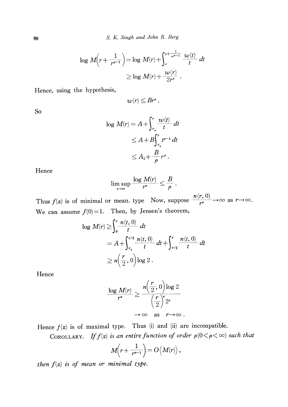<sup>90</sup> S. K. Singh and John R. Berg

$$
\log M\left(r + \frac{1}{r^{\rho - 1}}\right) = \log M(r) + \int_{r}^{r + \frac{1}{r^{\rho - 1}}} \frac{\omega(t)}{t} dt
$$
  

$$
\geq \log M(r) + \frac{\omega(r)}{2r^{\rho}}.
$$

Hence, using the hypothesis,

$$
w(r)\leq Br^{\rho}.
$$

So

$$
\log M(r) = A + \int_{r_0}^r \frac{w(t)}{t} dt
$$
  

$$
\leq A + B \int_{r_0}^r t^{r-1} dt
$$
  

$$
\leq A_1 + \frac{B}{\rho} r^r.
$$

Hence

$$
\limsup_{r\to\infty}\frac{\log M(r)}{r^{\rho}}\leq\frac{B}{\rho}\,.
$$

Thus  $f(z)$  is of minimal or mean, type Now, suppose  $\frac{f(r,0)}{r^{\rho}}\rightarrow\infty$  as  $r\rightarrow\infty$ . We can assume  $f(0)=1$ . Then, by Jensen's theorem,

$$
\log M(r) \ge \int_0^r \frac{n(t, 0)}{t} dt
$$
  
=  $A + \int_{r_0}^{r/2} \frac{n(t, 0)}{t} dt + \int_{r/2}^r \frac{n(t, 0)}{t} dt$   
 $\ge n\left(\frac{r}{2}, 0\right) \log 2$ .

Hence

$$
\frac{\log M(r)}{r^e} \ge \frac{n\left(\frac{r}{2},0\right)\log 2}{\left(\frac{r}{2}\right)^e 2^e} \longrightarrow \infty \quad \text{as} \quad r \to \infty.
$$

Hence  $f(z)$  is of maximal type. Thus (i) and (ii) are incompatible.

COROLLARY. If  $f(z)$  is an entire function of order  $\rho(0<\rho<\infty)$  such that

$$
M\! \left(r + \frac{1}{r^{e-1}}\right) = O\!\left(M\!)\right),
$$

then  $f(z)$  is of mean or minimal type.